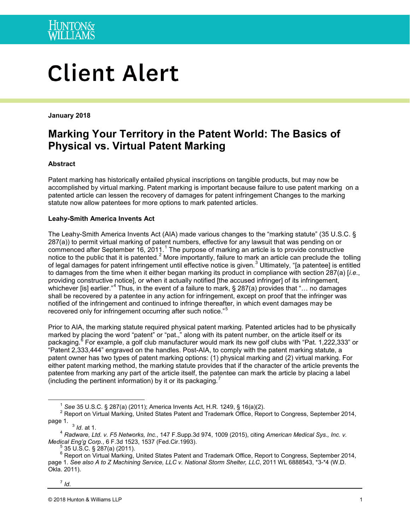

# **Client Alert**

**January 2018**

## **Marking Your Territory in the Patent World: The Basics of Physical vs. Virtual Patent Marking**

#### **Abstract**

Patent marking has historically entailed physical inscriptions on tangible products, but may now be accomplished by virtual marking. Patent marking is important because failure to use patent marking on a patented article can lessen the recovery of damages for patent infringement Changes to the marking statute now allow patentees for more options to mark patented articles.

#### **Leahy-Smith America Invents Act**

The Leahy-Smith America Invents Act (AIA) made various changes to the "marking statute" (35 U.S.C. § 287(a)) to permit virtual marking of patent numbers, effective for any lawsuit that was pending on or commenced after September [1](#page-0-0)6, 2011.<sup>1</sup> The purpose of marking an article is to provide constructive notice to the public that it is patented.<sup>[2](#page-0-1)</sup> More importantly, failure to mark an article can preclude the tolling of legal damages for patent infringement until effective notice is given.<sup>[3](#page-0-2)</sup> Ultimately, "[a patentee] is entitled to damages from the time when it either began marking its product in compliance with section 287(a) [*i.e*., providing constructive notice], or when it actually notified [the accused infringer] of its infringement, whichever [is] earlier."<sup>[4](#page-0-3)</sup> Thus, in the event of a failure to mark, § 287(a) provides that "... no damages shall be recovered by a patentee in any action for infringement, except on proof that the infringer was notified of the infringement and continued to infringe thereafter, in which event damages may be recovered only for infringement occurring after such notice."

Prior to AIA, the marking statute required physical patent marking. Patented articles had to be physically marked by placing the word "patent" or "pat.," along with its patent number, on the article itself or its packaging.<sup>[6](#page-0-5)</sup> For example, a golf club manufacturer would mark its new golf clubs with "Pat. 1,222,333" or "Patent 2,333,444" engraved on the handles. Post-AIA, to comply with the patent marking statute, a patent owner has two types of patent marking options: (1) physical marking and (2) virtual marking. For either patent marking method, the marking statute provides that if the character of the article prevents the patentee from marking any part of the article itself, the patentee can mark the article by placing a label (including the pertinent information) by it or its packaging.<sup>[7](#page-0-6)</sup>

<span id="page-0-6"></span> $<sup>7</sup>$  *Id*.</sup>

<span id="page-0-1"></span><span id="page-0-0"></span><sup>&</sup>lt;sup>1</sup> See 35 U.S.C. § 287(a) (2011); America Invents Act, H.R. 1249, § 16(a)(2).<br><sup>2</sup> Report on Virtual Marking, United States Patent and Trademark Office, Report to Congress, September 2014, page 1.

<span id="page-0-3"></span><span id="page-0-2"></span>page 1. 3 *Id*. at 1. 4 *Radware, Ltd. v. F5 Networks, Inc.*, 147 F.Supp.3d 974, 1009 (2015), citing *American Medical Sys., Inc. v.* 

<span id="page-0-5"></span><span id="page-0-4"></span><sup>&</sup>lt;sup>5</sup> 35 U.S.C. § 287(a) (2011).<br><sup>6</sup> Report on Virtual Marking, United States Patent and Trademark Office, Report to Congress, September 2014, page 1. *See also A to Z Machining Service, LLC v. National Storm Shelter, LLC*, 2011 WL 6888543, \*3-\*4 (W.D. Okla. 2011).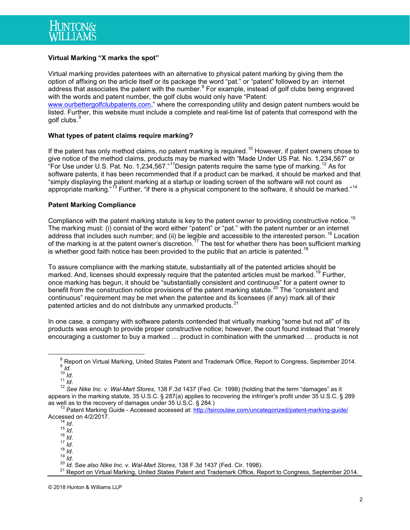

#### **Virtual Marking "X marks the spot"**

Virtual marking provides patentees with an alternative to physical patent marking by giving them the option of affixing on the article itself or its package the word "pat." or "patent" followed by an internet address that associates the patent with the number. $8$  For example, instead of golf clubs being engraved with the words and patent number, the golf clubs would only have "Patent:

[www.ourbettergolfclubpatents.com,](http://www.ourbettergolfclubpatents.com/)" where the corresponding utility and design patent numbers would be listed. Further, this website must include a complete and real-time list of patents that correspond with the golf clubs.<sup>[9](#page-1-1)</sup>

#### **What types of patent claims require marking?**

If the patent has only method claims, no patent marking is required.<sup>[10](#page-1-2)</sup> However, if patent owners chose to give notice of the method claims, products may be marked with "Made Under US Pat. No. 1,234,567" or "For Use under U.S. Pat. No. 1,234,567."<sup>[11](#page-1-3)</sup>Design patents require the same type of marking.<sup>[12](#page-1-4)</sup> As for software patents, it has been recommended that if a product can be marked, it should be marked and that "simply displaying the patent marking at a startup or loading screen of the software will not count as appropriate marking."<sup>[13](#page-1-5)</sup> Further, "if there is a physical component to the software, it should be marked."<sup>[14](#page-1-6)</sup>

#### **Patent Marking Compliance**

Compliance with the patent marking statute is key to the patent owner to providing constructive notice.<sup>[15](#page-1-7)</sup> The marking must: (i) consist of the word either "patent" or "pat." with the patent number or an internet address that includes such number; and (ii) be legible and accessible to the interested person.<sup>[16](#page-1-8)</sup> Location of the marking is at the patent owner's discretion.<sup>[17](#page-1-9)</sup> The test for whether there has been sufficient marking is whether good faith notice has been provided to the public that an article is patented.<sup>[18](#page-1-10)</sup>

To assure compliance with the marking statute, substantially all of the patented articles should be marked. And, licenses should expressly require that the patented articles must be marked.<sup>[19](#page-1-11)</sup> Further, once marking has begun, it should be "substantially consistent and continuous" for a patent owner to benefit from the construction notice provisions of the patent marking statute.<sup>[20](#page-1-12)</sup> The "consistent and continuous" requirement may be met when the patentee and its licensees (if any) mark all of their patented articles and do not distribute any unmarked products.<sup>[21](#page-1-13)</sup>

In one case, a company with software patents contended that virtually marking "some but not all" of its products was enough to provide proper constructive notice; however, the court found instead that "merely encouraging a customer to buy a marked … product in combination with the unmarked … products is not

<sup>&</sup>lt;sup>8</sup> Report on Virtual Marking, United States Patent and Trademark Office, Report to Congress, September 2014.<br>
<sup>9</sup> Id.<br>
<sup>10</sup> Id.<br>
<sup>12</sup> See Nike Inc. v. Wal-Mart Stores, 138 F.3d 1437 (Fed. Cir. 1998) (holding that the ter

<span id="page-1-4"></span><span id="page-1-3"></span><span id="page-1-2"></span><span id="page-1-1"></span><span id="page-1-0"></span>appears in the marking statute, 35 U.S.C. § 287(a) applies to recovering the infringer's profit under 35 U.S.C. § 289<br>as well as to the recovery of damages under 35 U.S.C. § 284.)

<span id="page-1-7"></span><span id="page-1-6"></span><span id="page-1-5"></span><sup>&</sup>lt;sup>13</sup> Patent Marking Guide - Accessed accessed at: http://tsircoulaw.com/uncategorized/patent-marking-guide/<br>Accessed on 4/2/2017.<br><sup>14</sup> *Id.* 

<span id="page-1-11"></span><span id="page-1-10"></span>

<span id="page-1-13"></span><span id="page-1-12"></span>

<span id="page-1-9"></span><span id="page-1-8"></span> $^{14}$  Id.<br>
15 Id.<br>
16 Id.<br>
17 Id.<br>
18 Id.<br>
20 Id. See also Nike Inc. v. Wal-Mart Stores, 138 F.3d 1437 (Fed. Cir. 1998).<br>
21 Report on Virtual Marking, United States Patent and Trademark Office, Report to Congress, Septe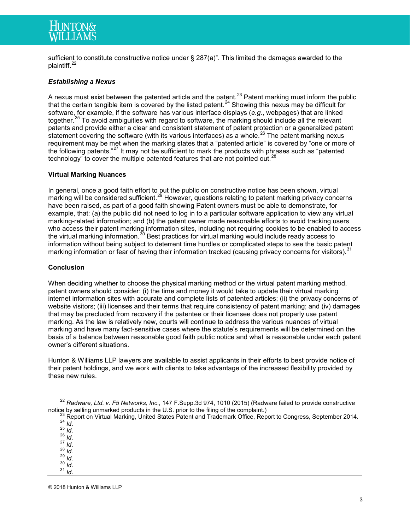sufficient to constitute constructive notice under § 287(a)". This limited the damages awarded to the plaintiff.<sup>[22](#page-2-0)</sup>

### *Establishing a Nexus*

A nexus must exist between the patented article and the patent.<sup>[23](#page-2-1)</sup> Patent marking must inform the public that the certain tangible item is covered by the listed patent.[24](#page-2-2) Showing this nexus may be difficult for software, for example, if the software has various interface displays (*e.g.*, webpages) that are linked together.<sup>[25](#page-2-3)</sup> To avoid ambiguities with regard to software, the marking should include all the relevant patents and provide either a clear and consistent statement of patent protection or a generalized patent statement covering the software (with its various interfaces) as a whole.<sup>[26](#page-2-4)</sup> The patent marking nexus requirement may be met when the marking states that a "patented article" is covered by "one or more of the following patents."<sup>[27](#page-2-5)</sup> It may not be sufficient to mark the products with phrases such as "patented technology" to cover the multiple patented features that are not pointed out.<sup>[28](#page-2-6)</sup>

#### **Virtual Marking Nuances**

In general, once a good faith effort to put the public on constructive notice has been shown, virtual marking will be considered sufficient.<sup>[29](#page-2-7)</sup> However, questions relating to patent marking privacy concerns have been raised, as part of a good faith showing Patent owners must be able to demonstrate, for example, that: (a) the public did not need to log in to a particular software application to view any virtual marking-related information; and (b) the patent owner made reasonable efforts to avoid tracking users who access their patent marking information sites, including not requiring cookies to be enabled to access the virtual marking information.<sup>[30](#page-2-8)</sup> Best practices for virtual marking would include ready access to information without being subject to deterrent time hurdles or complicated steps to see the basic patent marking information or fear of having their information tracked (causing privacy concerns for visitors).<sup>[31](#page-2-9)</sup>

#### **Conclusion**

When deciding whether to choose the physical marking method or the virtual patent marking method, patent owners should consider: (i) the time and money it would take to update their virtual marking internet information sites with accurate and complete lists of patented articles; (ii) the privacy concerns of website visitors; (iii) licenses and their terms that require consistency of patent marking; and (iv) damages that may be precluded from recovery if the patentee or their licensee does not properly use patent marking. As the law is relatively new, courts will continue to address the various nuances of virtual marking and have many fact-sensitive cases where the statute's requirements will be determined on the basis of a balance between reasonable good faith public notice and what is reasonable under each patent owner's different situations.

Hunton & Williams LLP lawyers are available to assist applicants in their efforts to best provide notice of their patent holdings, and we work with clients to take advantage of the increased flexibility provided by these new rules.

- 
- 
- 
- <span id="page-2-6"></span>
- 
- 

<span id="page-2-9"></span><span id="page-2-8"></span><span id="page-2-7"></span>© 2018 Hunton & Williams LLP

<span id="page-2-0"></span><sup>&</sup>lt;sup>22</sup> *Radware, Ltd. v. F5 Networks, Inc.*, 147 F.Supp.3d 974, 1010 (2015) (Radware failed to provide constructive notice by selling unmarked products in the U.S. prior to the filing of the complaint.)

<span id="page-2-5"></span><span id="page-2-4"></span><span id="page-2-3"></span><span id="page-2-2"></span><span id="page-2-1"></span>notice by selling unmarked products in the U.S. prior to the filing of the complaint.)<br>
<sup>23</sup> Report on Virtual Marking, United States Patent and Trademark Office, Report to Congress, September 2014.<br>
<sup>25</sup> *Id.*<br>
<sup>25</sup> *Id.*